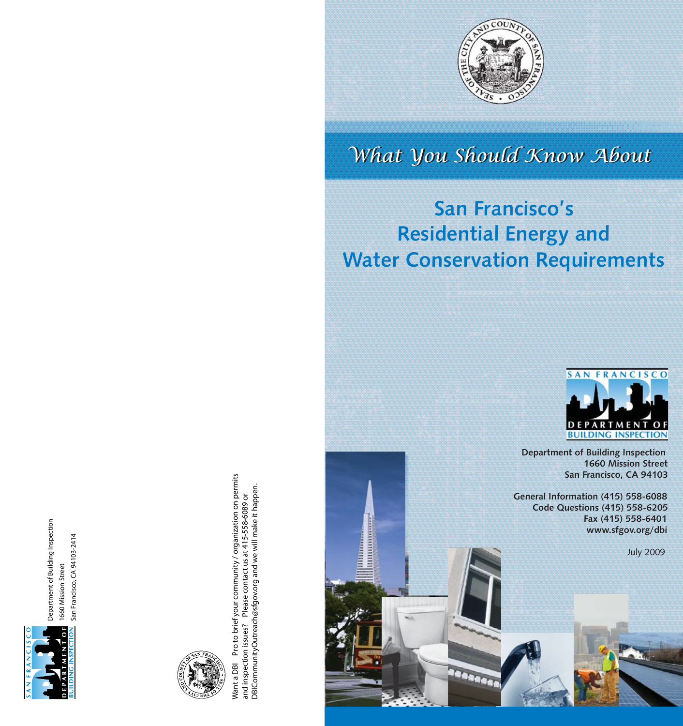

Department of Building Inspection **Department of Building Inspection** San Francisco, CA 94103-2414 **San Francisco, CA 94103-2414** 1660 Mission Street **1660 Mission Street**



Want a DBI Pro to brief your community / organization on permits<br>and inspection issues? Please contact us at 415-558-6089 or<br>DBICommunityOutreach@sfgov.org and we will make it happen. **Want a DBI Pro to brief your community / organization on permits DBICommunityOutreach@sfgov.org and we will make it happen.and inspection issues? Please contact us at 415-558-6089 or** 

**INITIATIVE** 



# What You Should Know About

# **San Francisco's Residential Energy and Water Conservation Requirements**

**RAARAA** 



 **Department of Building Inspection 1660 Mission Street San Francisco, CA 94103**

 **General Information (415) 558-6088 Code Questions (415) 558-6205 Fax (415) 558-6401 www.sfgov.org/dbi**

July 2009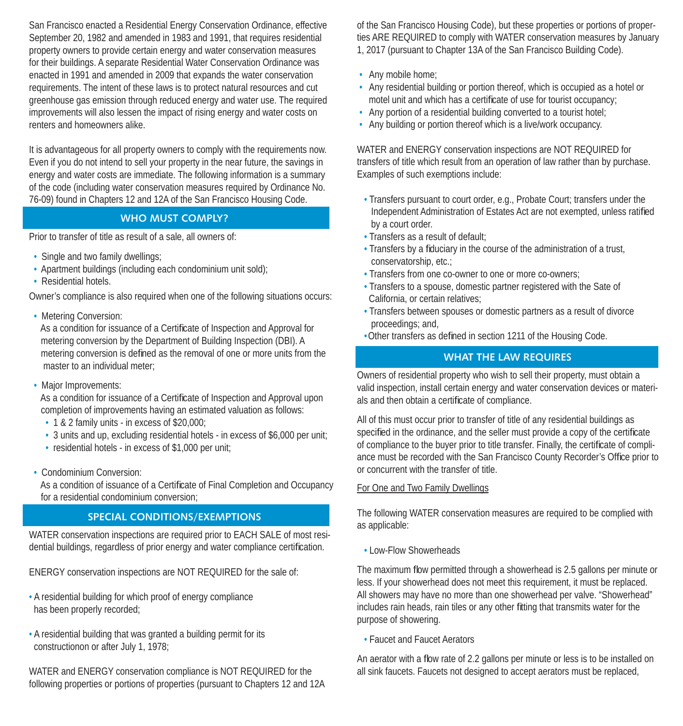San Francisco enacted a Residential Energy Conservation Ordinance, effective September 20, 1982 and amended in 1983 and 1991, that requires residential property owners to provide certain energy and water conservation measures for their buildings. A separate Residential Water Conservation Ordinance was enacted in 1991 and amended in 2009 that expands the water conservation requirements. The intent of these laws is to protect natural resources and cut greenhouse gas emission through reduced energy and water use. The required improvements will also lessen the impact of rising energy and water costs on renters and homeowners alike.

It is advantageous for all property owners to comply with the requirements now. Even if you do not intend to sell your property in the near future, the savings in energy and water costs are immediate. The following information is a summary of the code (including water conservation measures required by Ordinance No. 76-09) found in Chapters 12 and 12A of the San Francisco Housing Code.

#### **WHO MUST COMPLY?**

Prior to transfer of title as result of a sale, all owners of:

- Single and two family dwellings;
- Apartment buildings (including each condominium unit sold);
- Residential hotels.

Owner's compliance is also required when one of the following situations occurs:

• Metering Conversion:

As a condition for issuance of a Certificate of Inspection and Approval for metering conversion by the Department of Building Inspection (DBI). A metering conversion is defined as the removal of one or more units from the master to an individual meter;

• Major Improvements:

As a condition for issuance of a Certificate of Inspection and Approval upon completion of improvements having an estimated valuation as follows:

- 1 & 2 family units in excess of \$20,000;
- 3 units and up, excluding residential hotels in excess of \$6,000 per unit;
- residential hotels in excess of \$1,000 per unit;
- Condominium Conversion:

As a condition of issuance of a Certificate of Final Completion and Occupancy for a residential condominium conversion;

#### **SPECIAL CONDITIONS/EXEMPTIONS**

WATER conservation inspections are required prior to EACH SALE of most residential buildings, regardless of prior energy and water compliance certification.

ENERGY conservation inspections are NOT REQUIRED for the sale of:

- A residential building for which proof of energy compliance has been properly recorded;
- A residential building that was granted a building permit for its constructionon or after July 1, 1978;

WATER and ENERGY conservation compliance is NOT REQUIRED for the following properties or portions of properties (pursuant to Chapters 12 and 12A of the San Francisco Housing Code), but these properties or portions of properties ARE REQUIRED to comply with WATER conservation measures by January 1, 2017 (pursuant to Chapter 13A of the San Francisco Building Code).

- Any mobile home;
- Any residential building or portion thereof, which is occupied as a hotel or motel unit and which has a certificate of use for tourist occupancy;
- Any portion of a residential building converted to a tourist hotel;
- Any building or portion thereof which is a live/work occupancy.

WATER and ENERGY conservation inspections are NOT REQUIRED for transfers of title which result from an operation of law rather than by purchase. Examples of such exemptions include:

- Transfers pursuant to court order, e.g., Probate Court; transfers under the Independent Administration of Estates Act are not exempted, unless ratified by a court order.
- Transfers as a result of default;
- Transfers by a fiduciary in the course of the administration of a trust, conservatorship, etc.;
- Transfers from one co-owner to one or more co-owners;
- Transfers to a spouse, domestic partner registered with the Sate of California, or certain relatives;
- Transfers between spouses or domestic partners as a result of divorce proceedings; and,
- Other transfers as defined in section 1211 of the Housing Code.

### **WHAT THE LAW REQUIRES**

Owners of residential property who wish to sell their property, must obtain a valid inspection, install certain energy and water conservation devices or materials and then obtain a certificate of compliance.

All of this must occur prior to transfer of title of any residential buildings as specified in the ordinance, and the seller must provide a copy of the certificate of compliance to the buyer prior to title transfer. Finally, the certificate of compliance must be recorded with the San Francisco County Recorder's Office prior to or concurrent with the transfer of title.

#### For One and Two Family Dwellings

The following WATER conservation measures are required to be complied with as applicable:

• Low-Flow Showerheads

The maximum flow permitted through a showerhead is 2.5 gallons per minute or less. If your showerhead does not meet this requirement, it must be replaced. All showers may have no more than one showerhead per valve. "Showerhead" includes rain heads, rain tiles or any other fitting that transmits water for the purpose of showering.

• Faucet and Faucet Aerators

An aerator with a flow rate of 2.2 gallons per minute or less is to be installed on all sink faucets. Faucets not designed to accept aerators must be replaced,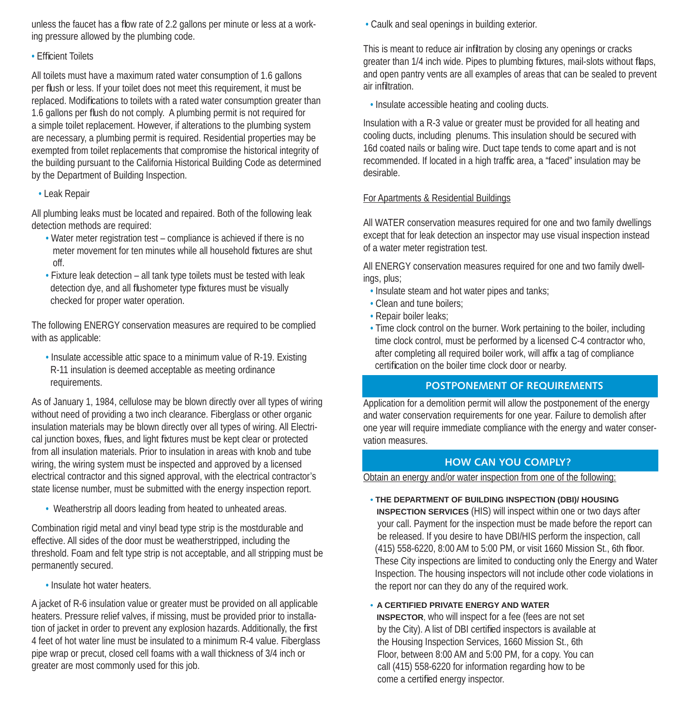unless the faucet has a flow rate of 2.2 gallons per minute or less at a working pressure allowed by the plumbing code.

#### • Efficient Toilets

All toilets must have a maximum rated water consumption of 1.6 gallons per flush or less. If your toilet does not meet this requirement, it must be replaced. Modifications to toilets with a rated water consumption greater than 1.6 gallons per flush do not comply. A plumbing permit is not required for a simple toilet replacement. However, if alterations to the plumbing system are necessary, a plumbing permit is required. Residential properties may be exempted from toilet replacements that compromise the historical integrity of the building pursuant to the California Historical Building Code as determined by the Department of Building Inspection.

• Leak Repair

All plumbing leaks must be located and repaired. Both of the following leak detection methods are required:

- Water meter registration test compliance is achieved if there is no meter movement for ten minutes while all household fixtures are shut off.
- Fixture leak detection all tank type toilets must be tested with leak detection dye, and all flushometer type fixtures must be visually checked for proper water operation.

The following ENERGY conservation measures are required to be complied with as applicable:

 • Insulate accessible attic space to a minimum value of R-19. Existing R-11 insulation is deemed acceptable as meeting ordinance requirements.

As of January 1, 1984, cellulose may be blown directly over all types of wiring without need of providing a two inch clearance. Fiberglass or other organic insulation materials may be blown directly over all types of wiring. All Electrical junction boxes, flues, and light fixtures must be kept clear or protected from all insulation materials. Prior to insulation in areas with knob and tube wiring, the wiring system must be inspected and approved by a licensed electrical contractor and this signed approval, with the electrical contractor's state license number, must be submitted with the energy inspection report.

• Weatherstrip all doors leading from heated to unheated areas.

Combination rigid metal and vinyl bead type strip is the mostdurable and effective. All sides of the door must be weatherstripped, including the threshold. Foam and felt type strip is not acceptable, and all stripping must be permanently secured.

• Insulate hot water heaters.

A jacket of R-6 insulation value or greater must be provided on all applicable heaters. Pressure relief valves, if missing, must be provided prior to installation of jacket in order to prevent any explosion hazards. Additionally, the first 4 feet of hot water line must be insulated to a minimum R-4 value. Fiberglass pipe wrap or precut, closed cell foams with a wall thickness of 3/4 inch or greater are most commonly used for this job.

• Caulk and seal openings in building exterior.

This is meant to reduce air infiltration by closing any openings or cracks greater than 1/4 inch wide. Pipes to plumbing fixtures, mail-slots without flaps, and open pantry vents are all examples of areas that can be sealed to prevent air infiltration.

• Insulate accessible heating and cooling ducts.

Insulation with a R-3 value or greater must be provided for all heating and cooling ducts, including plenums. This insulation should be secured with 16d coated nails or baling wire. Duct tape tends to come apart and is not recommended. If located in a high traffic area, a "faced" insulation may be desirable.

## For Apartments & Residential Buildings

All WATER conservation measures required for one and two family dwellings except that for leak detection an inspector may use visual inspection instead of a water meter registration test.

All ENERGY conservation measures required for one and two family dwellings, plus;

- Insulate steam and hot water pipes and tanks;
- Clean and tune boilers;
- Repair boiler leaks;
- Time clock control on the burner. Work pertaining to the boiler, including time clock control, must be performed by a licensed C-4 contractor who, after completing all required boiler work, will affix a tag of compliance certification on the boiler time clock door or nearby.

## **POSTPONEMENT OF REQUIREMENTS**

Application for a demolition permit will allow the postponement of the energy and water conservation requirements for one year. Failure to demolish after one year will require immediate compliance with the energy and water conservation measures.

## **HOW CAN YOU COMPLY?**

Obtain an energy and/or water inspection from one of the following:

**• THE DEPARTMENT OF BUILDING INSPECTION (DBI)/ HOUSING** 

 **INSPECTION SERVICES** (HIS) will inspect within one or two days after your call. Payment for the inspection must be made before the report can be released. If you desire to have DBI/HIS perform the inspection, call (415) 558-6220, 8:00 AM to 5:00 PM, or visit 1660 Mission St., 6th floor. These City inspections are limited to conducting only the Energy and Water Inspection. The housing inspectors will not include other code violations in the report nor can they do any of the required work.

**• A CERTIFIED PRIVATE ENERGY AND WATER** 

 **INSPECTOR**, who will inspect for a fee (fees are not set by the City). A list of DBI certified inspectors is available at the Housing Inspection Services, 1660 Mission St., 6th Floor, between 8:00 AM and 5:00 PM, for a copy. You can call (415) 558-6220 for information regarding how to be come a certified energy inspector.